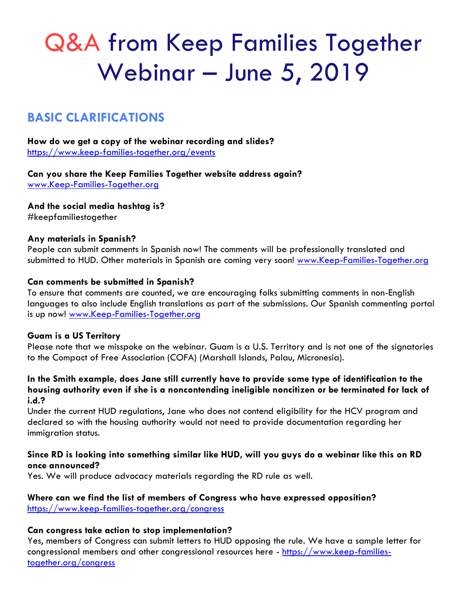# Q&A from Keep Families Together Webinar – June 5, 2019

## **BASIC CLARIFICATIONS**

**How do we get a copy of the webinar recording and slides?** <https://www.keep-families-together.org/events>

**Can you share the Keep Families Together website address again?** [www.Keep-Families-Together.org](http://www.keep-families-together.org/)

**And the social media hashtag is?**

#keepfamiliestogether

#### **Any materials in Spanish?**

People can submit comments in Spanish now! The comments will be professionally translated and submitted to HUD. Other materials in Spanish are coming very soon! [www.Keep-Families-Together.org](http://www.keep-families-together.org/)

#### **Can comments be submitted in Spanish?**

To ensure that comments are counted, we are encouraging folks submitting comments in non-English languages to also include English translations as part of the submissions. Our Spanish commenting portal is up now! [www.Keep-Families-Together.org](http://www.keep-families-together.org/)

#### **Guam is a US Territory**

Please note that we misspoke on the webinar. Guam is a U.S. Territory and is not one of the signatories to the Compact of Free Association (COFA) (Marshall Islands, Palau, Micronesia).

#### **In the Smith example, does Jane still currently have to provide some type of identification to the housing authority even if she is a noncontending ineligible noncitizen or be terminated for lack of i.d.?**

Under the current HUD regulations, Jane who does not contend eligibility for the HCV program and declared so with the housing authority would not need to provide documentation regarding her immigration status.

#### **Since RD is looking into something similar like HUD, will you guys do a webinar like this on RD once announced?**

Yes. We will produce advocacy materials regarding the RD rule as well.

#### **Where can we find the list of members of Congress who have expressed opposition?** <https://www.keep-families-together.org/congress>

#### **Can congress take action to stop implementation?**

Yes, members of Congress can submit letters to HUD opposing the rule. We have a sample letter for congressional members and other congressional resources here - [https://www.keep-families](https://www.keep-families-together.org/congress)[together.org/congress](https://www.keep-families-together.org/congress)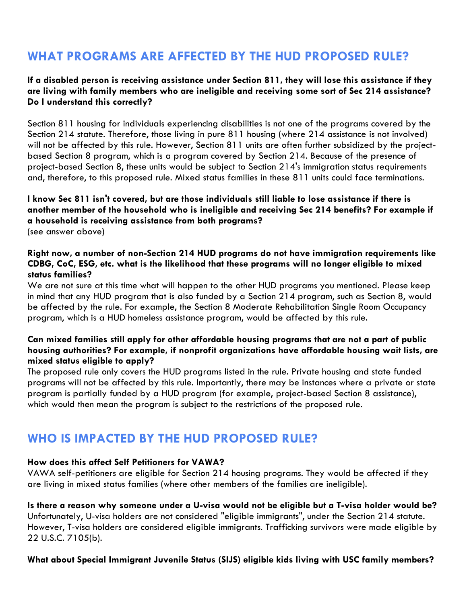## **WHAT PROGRAMS ARE AFFECTED BY THE HUD PROPOSED RULE?**

#### **If a disabled person is receiving assistance under Section 811, they will lose this assistance if they are living with family members who are ineligible and receiving some sort of Sec 214 assistance? Do I understand this correctly?**

Section 811 housing for individuals experiencing disabilities is not one of the programs covered by the Section 214 statute. Therefore, those living in pure 811 housing (where 214 assistance is not involved) will not be affected by this rule. However, Section 811 units are often further subsidized by the projectbased Section 8 program, which is a program covered by Section 214. Because of the presence of project-based Section 8, these units would be subject to Section 214's immigration status requirements and, therefore, to this proposed rule. Mixed status families in these 811 units could face terminations.

#### **I know Sec 811 isn't covered, but are those individuals still liable to lose assistance if there is another member of the household who is ineligible and receiving Sec 214 benefits? For example if a household is receiving assistance from both programs?** (see answer above)

#### **Right now, a number of non-Section 214 HUD programs do not have immigration requirements like CDBG, CoC, ESG, etc. what is the likelihood that these programs will no longer eligible to mixed status families?**

We are not sure at this time what will happen to the other HUD programs you mentioned. Please keep in mind that any HUD program that is also funded by a Section 214 program, such as Section 8, would be affected by the rule. For example, the Section 8 Moderate Rehabilitation Single Room Occupancy program, which is a HUD homeless assistance program, would be affected by this rule.

#### **Can mixed families still apply for other affordable housing programs that are not a part of public housing authorities? For example, if nonprofit organizations have affordable housing wait lists, are mixed status eligible to apply?**

The proposed rule only covers the HUD programs listed in the rule. Private housing and state funded programs will not be affected by this rule. Importantly, there may be instances where a private or state program is partially funded by a HUD program (for example, project-based Section 8 assistance), which would then mean the program is subject to the restrictions of the proposed rule.

## **WHO IS IMPACTED BY THE HUD PROPOSED RULE?**

#### **How does this affect Self Petitioners for VAWA?**

VAWA self-petitioners are eligible for Section 214 housing programs. They would be affected if they are living in mixed status families (where other members of the families are ineligible).

#### **Is there a reason why someone under a U-visa would not be eligible but a T-visa holder would be?**

Unfortunately, U-visa holders are not considered "eligible immigrants", under the Section 214 statute. However, T-visa holders are considered eligible immigrants. Trafficking survivors were made eligible by 22 U.S.C. 7105(b).

#### **What about Special Immigrant Juvenile Status (SIJS) eligible kids living with USC family members?**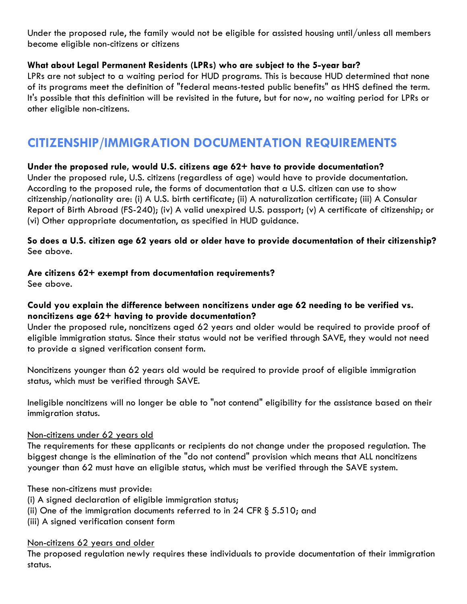Under the proposed rule, the family would not be eligible for assisted housing until/unless all members become eligible non-citizens or citizens

#### **What about Legal Permanent Residents (LPRs) who are subject to the 5-year bar?**

LPRs are not subject to a waiting period for HUD programs. This is because HUD determined that none of its programs meet the definition of "federal means-tested public benefits" as HHS defined the term. It's possible that this definition will be revisited in the future, but for now, no waiting period for LPRs or other eligible non-citizens.

## **CITIZENSHIP/IMMIGRATION DOCUMENTATION REQUIREMENTS**

#### **Under the proposed rule, would U.S. citizens age 62+ have to provide documentation?**

Under the proposed rule, U.S. citizens (regardless of age) would have to provide documentation. According to the proposed rule, the forms of documentation that a U.S. citizen can use to show citizenship/nationality are: (i) A U.S. birth certificate; (ii) A naturalization certificate; (iii) A Consular Report of Birth Abroad (FS-240); (iv) A valid unexpired U.S. passport; (v) A certificate of citizenship; or (vi) Other appropriate documentation, as specified in HUD guidance.

#### **So does a U.S. citizen age 62 years old or older have to provide documentation of their citizenship?** See above.

#### **Are citizens 62+ exempt from documentation requirements?**

See above.

#### **Could you explain the difference between noncitizens under age 62 needing to be verified vs. noncitizens age 62+ having to provide documentation?**

Under the proposed rule, noncitizens aged 62 years and older would be required to provide proof of eligible immigration status. Since their status would not be verified through SAVE, they would not need to provide a signed verification consent form.

Noncitizens younger than 62 years old would be required to provide proof of eligible immigration status, which must be verified through SAVE.

Ineligible noncitizens will no longer be able to "not contend" eligibility for the assistance based on their immigration status.

#### Non-citizens under 62 years old

The requirements for these applicants or recipients do not change under the proposed regulation. The biggest change is the elimination of the "do not contend" provision which means that ALL noncitizens younger than 62 must have an eligible status, which must be verified through the SAVE system.

These non-citizens must provide:

- (i) A signed declaration of eligible immigration status;
- (ii) One of the immigration documents referred to in 24 CFR § 5.510; and
- (iii) A signed verification consent form

Non-citizens 62 years and older

The proposed regulation newly requires these individuals to provide documentation of their immigration status.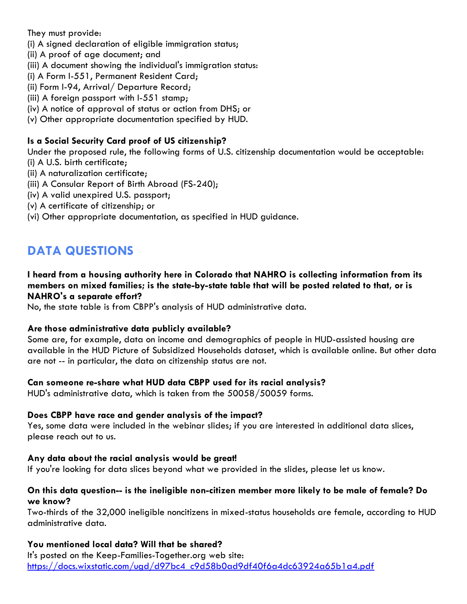They must provide:

- (i) A signed declaration of eligible immigration status;
- (ii) A proof of age document; and
- (iii) A document showing the individual's immigration status:
- (i) A Form I-551, Permanent Resident Card;
- (ii) Form I-94, Arrival/ Departure Record;
- (iii) A foreign passport with I-551 stamp;
- (iv) A notice of approval of status or action from DHS; or
- (v) Other appropriate documentation specified by HUD.

#### **Is a Social Security Card proof of US citizenship?**

Under the proposed rule, the following forms of U.S. citizenship documentation would be acceptable: (i) A U.S. birth certificate;

- (ii) A naturalization certificate;
- (iii) A Consular Report of Birth Abroad (FS-240);
- (iv) A valid unexpired U.S. passport;
- (v) A certificate of citizenship; or
- (vi) Other appropriate documentation, as specified in HUD guidance.

## **DATA QUESTIONS**

#### **I heard from a housing authority here in Colorado that NAHRO is collecting information from its members on mixed families; is the state-by-state table that will be posted related to that, or is NAHRO's a separate effort?**

No, the state table is from CBPP's analysis of HUD administrative data.

#### **Are those administrative data publicly available?**

Some are, for example, data on income and demographics of people in HUD-assisted housing are available in the HUD Picture of Subsidized Households dataset, which is available online. But other data are not -- in particular, the data on citizenship status are not.

#### **Can someone re-share what HUD data CBPP used for its racial analysis?**

HUD's administrative data, which is taken from the 50058/50059 forms.

#### **Does CBPP have race and gender analysis of the impact?**

Yes, some data were included in the webinar slides; if you are interested in additional data slices, please reach out to us.

#### **Any data about the racial analysis would be great!**

If you're looking for data slices beyond what we provided in the slides, please let us know.

#### **On this data question-- is the ineligible non-citizen member more likely to be male of female? Do we know?**

Two-thirds of the 32,000 ineligible noncitizens in mixed-status households are female, according to HUD administrative data.

#### **You mentioned local data? Will that be shared?**

It's posted on the Keep-Families-Together.org web site: [https://docs.wixstatic.com/ugd/d97bc4\\_c9d58b0ad9df40f6a4dc63924a65b1a4.pdf](https://docs.wixstatic.com/ugd/d97bc4_c9d58b0ad9df40f6a4dc63924a65b1a4.pdf)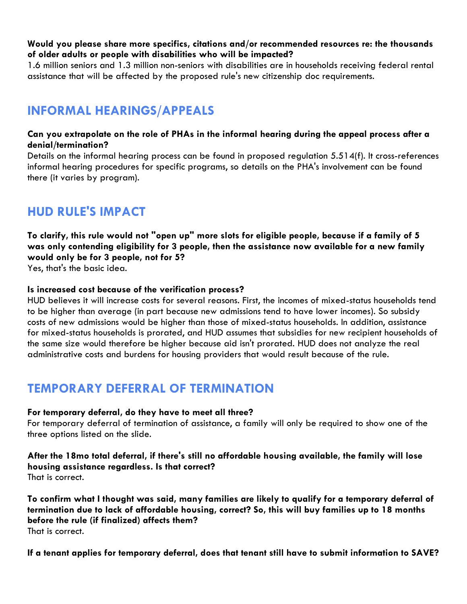#### **Would you please share more specifics, citations and/or recommended resources re: the thousands of older adults or people with disabilities who will be impacted?**

1.6 million seniors and 1.3 million non-seniors with disabilities are in households receiving federal rental assistance that will be affected by the proposed rule's new citizenship doc requirements.

## **INFORMAL HEARINGS/APPEALS**

#### **Can you extrapolate on the role of PHAs in the informal hearing during the appeal process after a denial/termination?**

Details on the informal hearing process can be found in proposed regulation 5.514(f). It cross-references informal hearing procedures for specific programs, so details on the PHA's involvement can be found there (it varies by program).

## **HUD RULE'S IMPACT**

**To clarify, this rule would not "open up" more slots for eligible people, because if a family of 5 was only contending eligibility for 3 people, then the assistance now available for a new family would only be for 3 people, not for 5?** 

Yes, that's the basic idea.

#### **Is increased cost because of the verification process?**

HUD believes it will increase costs for several reasons. First, the incomes of mixed-status households tend to be higher than average (in part because new admissions tend to have lower incomes). So subsidy costs of new admissions would be higher than those of mixed-status households. In addition, assistance for mixed-status households is prorated, and HUD assumes that subsidies for new recipient households of the same size would therefore be higher because aid isn't prorated. HUD does not analyze the real administrative costs and burdens for housing providers that would result because of the rule.

## **TEMPORARY DEFERRAL OF TERMINATION**

#### **For temporary deferral, do they have to meet all three?**

For temporary deferral of termination of assistance, a family will only be required to show one of the three options listed on the slide.

**After the 18mo total deferral, if there's still no affordable housing available, the family will lose housing assistance regardless. Is that correct?** That is correct.

**To confirm what I thought was said, many families are likely to qualify for a temporary deferral of termination due to lack of affordable housing, correct? So, this will buy families up to 18 months before the rule (if finalized) affects them?** That is correct.

**If a tenant applies for temporary deferral, does that tenant still have to submit information to SAVE?**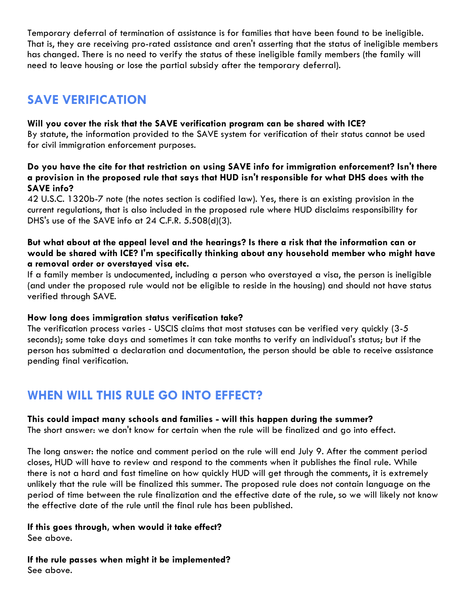Temporary deferral of termination of assistance is for families that have been found to be ineligible. That is, they are receiving pro-rated assistance and aren't asserting that the status of ineligible members has changed. There is no need to verify the status of these ineligible family members (the family will need to leave housing or lose the partial subsidy after the temporary deferral).

## **SAVE VERIFICATION**

#### **Will you cover the risk that the SAVE verification program can be shared with ICE?**

By statute, the information provided to the SAVE system for verification of their status cannot be used for civil immigration enforcement purposes.

#### **Do you have the cite for that restriction on using SAVE info for immigration enforcement? Isn't there a provision in the proposed rule that says that HUD isn't responsible for what DHS does with the SAVE info?**

42 U.S.C. 1320b-7 note (the notes section is codified law). Yes, there is an existing provision in the current regulations, that is also included in the proposed rule where HUD disclaims responsibility for DHS's use of the SAVE info at 24 C.F.R. 5.508(d)(3).

#### **But what about at the appeal level and the hearings? Is there a risk that the information can or would be shared with ICE? I'm specifically thinking about any household member who might have a removal order or overstayed visa etc.**

If a family member is undocumented, including a person who overstayed a visa, the person is ineligible (and under the proposed rule would not be eligible to reside in the housing) and should not have status verified through SAVE.

#### **How long does immigration status verification take?**

The verification process varies - USCIS claims that most statuses can be verified very quickly (3-5 seconds); some take days and sometimes it can take months to verify an individual's status; but if the person has submitted a declaration and documentation, the person should be able to receive assistance pending final verification.

## **WHEN WILL THIS RULE GO INTO EFFECT?**

#### **This could impact many schools and families - will this happen during the summer?**

The short answer: we don't know for certain when the rule will be finalized and go into effect.

The long answer: the notice and comment period on the rule will end July 9. After the comment period closes, HUD will have to review and respond to the comments when it publishes the final rule. While there is not a hard and fast timeline on how quickly HUD will get through the comments, it is extremely unlikely that the rule will be finalized this summer. The proposed rule does not contain language on the period of time between the rule finalization and the effective date of the rule, so we will likely not know the effective date of the rule until the final rule has been published.

### **If this goes through, when would it take effect?**

See above.

**If the rule passes when might it be implemented?** See above.